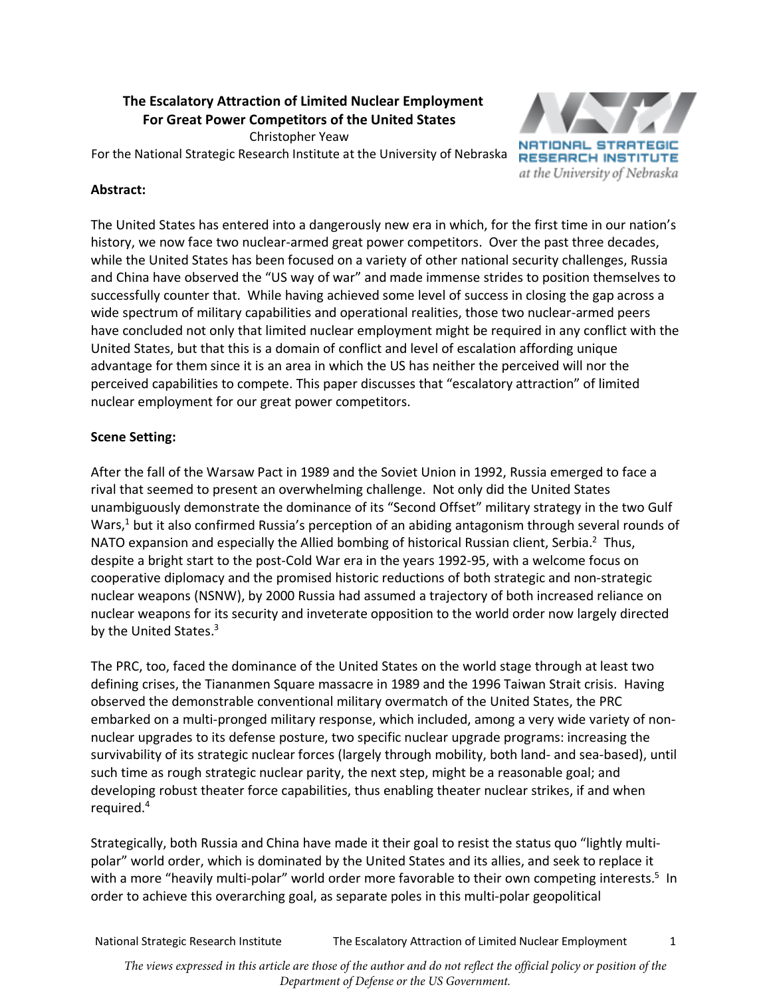# **The Escalatory Attraction of Limited Nuclear Employment For Great Power Competitors of the United States**

Christopher Yeaw

For the National Strategic Research Institute at the University of Nebraska



## **Abstract:**

The United States has entered into a dangerously new era in which, for the first time in our nation's history, we now face two nuclear-armed great power competitors. Over the past three decades, while the United States has been focused on a variety of other national security challenges, Russia and China have observed the "US way of war" and made immense strides to position themselves to successfully counter that. While having achieved some level of success in closing the gap across a wide spectrum of military capabilities and operational realities, those two nuclear-armed peers have concluded not only that limited nuclear employment might be required in any conflict with the United States, but that this is a domain of conflict and level of escalation affording unique advantage for them since it is an area in which the US has neither the perceived will nor the perceived capabilities to compete. This paper discusses that "escalatory attraction" of limited nuclear employment for our great power competitors.

## **Scene Setting:**

After the fall of the Warsaw Pact in 1989 and the Soviet Union in 1992, Russia emerged to face a rival that seemed to present an overwhelming challenge. Not only did the United States unambiguously demonstrate the dominance of its "Second Offset" military strategy in the two Gulf Wars,<sup>1</sup> but it also confirmed Russia's perception of an abiding antagonism through several rounds of NATO expansion and especially the Allied bombing of historical Russian client, Serbia.<sup>2</sup> Thus, despite a bright start to the post-Cold War era in the years 1992-95, with a welcome focus on cooperative diplomacy and the promised historic reductions of both strategic and non-strategic nuclear weapons (NSNW), by 2000 Russia had assumed a trajectory of both increased reliance on nuclear weapons for its security and inveterate opposition to the world order now largely directed by the United States.<sup>3</sup>

The PRC, too, faced the dominance of the United States on the world stage through at least two defining crises, the Tiananmen Square massacre in 1989 and the 1996 Taiwan Strait crisis. Having observed the demonstrable conventional military overmatch of the United States, the PRC embarked on a multi-pronged military response, which included, among a very wide variety of nonnuclear upgrades to its defense posture, two specific nuclear upgrade programs: increasing the survivability of its strategic nuclear forces (largely through mobility, both land- and sea-based), until such time as rough strategic nuclear parity, the next step, might be a reasonable goal; and developing robust theater force capabilities, thus enabling theater nuclear strikes, if and when required.4

Strategically, both Russia and China have made it their goal to resist the status quo "lightly multipolar" world order, which is dominated by the United States and its allies, and seek to replace it with a more "heavily multi-polar" world order more favorable to their own competing interests.<sup>5</sup> In order to achieve this overarching goal, as separate poles in this multi-polar geopolitical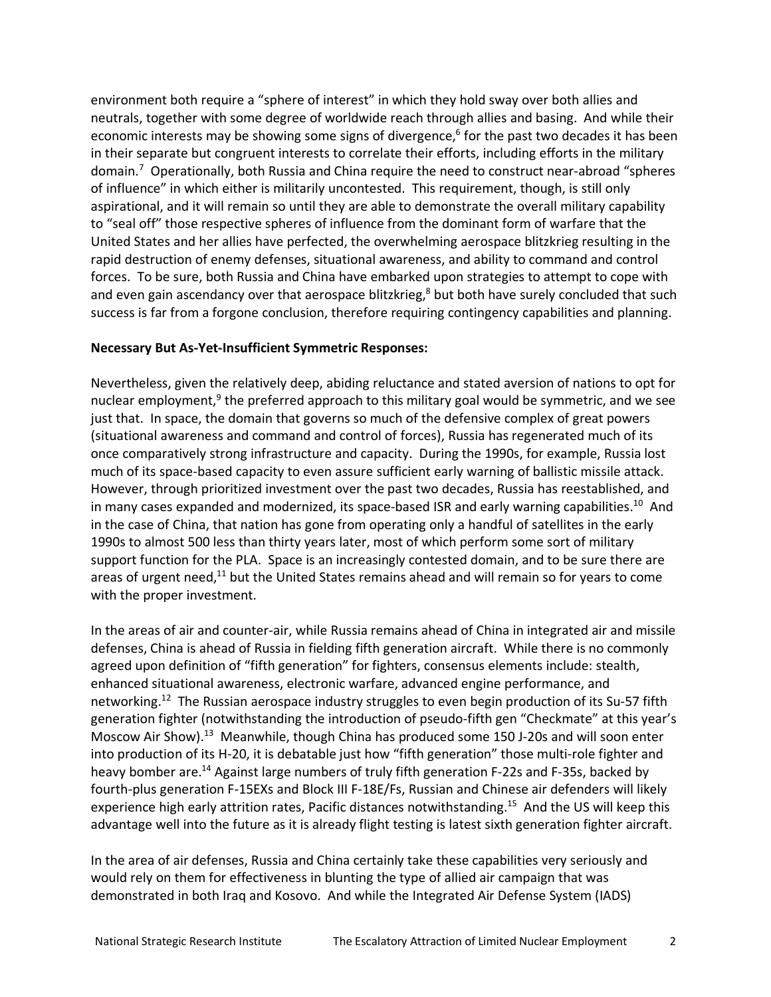environment both require a "sphere of interest" in which they hold sway over both allies and neutrals, together with some degree of worldwide reach through allies and basing. And while their economic interests may be showing some signs of divergence,<sup>6</sup> for the past two decades it has been in their separate but congruent interests to correlate their efforts, including efforts in the military domain.<sup>7</sup> Operationally, both Russia and China require the need to construct near-abroad "spheres of influence" in which either is militarily uncontested. This requirement, though, is still only aspirational, and it will remain so until they are able to demonstrate the overall military capability to "seal off" those respective spheres of influence from the dominant form of warfare that the United States and her allies have perfected, the overwhelming aerospace blitzkrieg resulting in the rapid destruction of enemy defenses, situational awareness, and ability to command and control forces. To be sure, both Russia and China have embarked upon strategies to attempt to cope with and even gain ascendancy over that aerospace blitzkrieg, $8$  but both have surely concluded that such success is far from a forgone conclusion, therefore requiring contingency capabilities and planning.

#### **Necessary But As-Yet-Insufficient Symmetric Responses:**

Nevertheless, given the relatively deep, abiding reluctance and stated aversion of nations to opt for nuclear employment, $9$  the preferred approach to this military goal would be symmetric, and we see just that. In space, the domain that governs so much of the defensive complex of great powers (situational awareness and command and control of forces), Russia has regenerated much of its once comparatively strong infrastructure and capacity. During the 1990s, for example, Russia lost much of its space-based capacity to even assure sufficient early warning of ballistic missile attack. However, through prioritized investment over the past two decades, Russia has reestablished, and in many cases expanded and modernized, its space-based ISR and early warning capabilities.<sup>10</sup> And in the case of China, that nation has gone from operating only a handful of satellites in the early 1990s to almost 500 less than thirty years later, most of which perform some sort of military support function for the PLA. Space is an increasingly contested domain, and to be sure there are areas of urgent need,<sup>11</sup> but the United States remains ahead and will remain so for years to come with the proper investment.

In the areas of air and counter-air, while Russia remains ahead of China in integrated air and missile defenses, China is ahead of Russia in fielding fifth generation aircraft. While there is no commonly agreed upon definition of "fifth generation" for fighters, consensus elements include: stealth, enhanced situational awareness, electronic warfare, advanced engine performance, and networking.<sup>12</sup> The Russian aerospace industry struggles to even begin production of its Su-57 fifth generation fighter (notwithstanding the introduction of pseudo-fifth gen "Checkmate" at this year's Moscow Air Show).13 Meanwhile, though China has produced some 150 J-20s and will soon enter into production of its H-20, it is debatable just how "fifth generation" those multi-role fighter and heavy bomber are.<sup>14</sup> Against large numbers of truly fifth generation F-22s and F-35s, backed by fourth-plus generation F-15EXs and Block III F-18E/Fs, Russian and Chinese air defenders will likely experience high early attrition rates, Pacific distances notwithstanding.15 And the US will keep this advantage well into the future as it is already flight testing is latest sixth generation fighter aircraft.

In the area of air defenses, Russia and China certainly take these capabilities very seriously and would rely on them for effectiveness in blunting the type of allied air campaign that was demonstrated in both Iraq and Kosovo. And while the Integrated Air Defense System (IADS)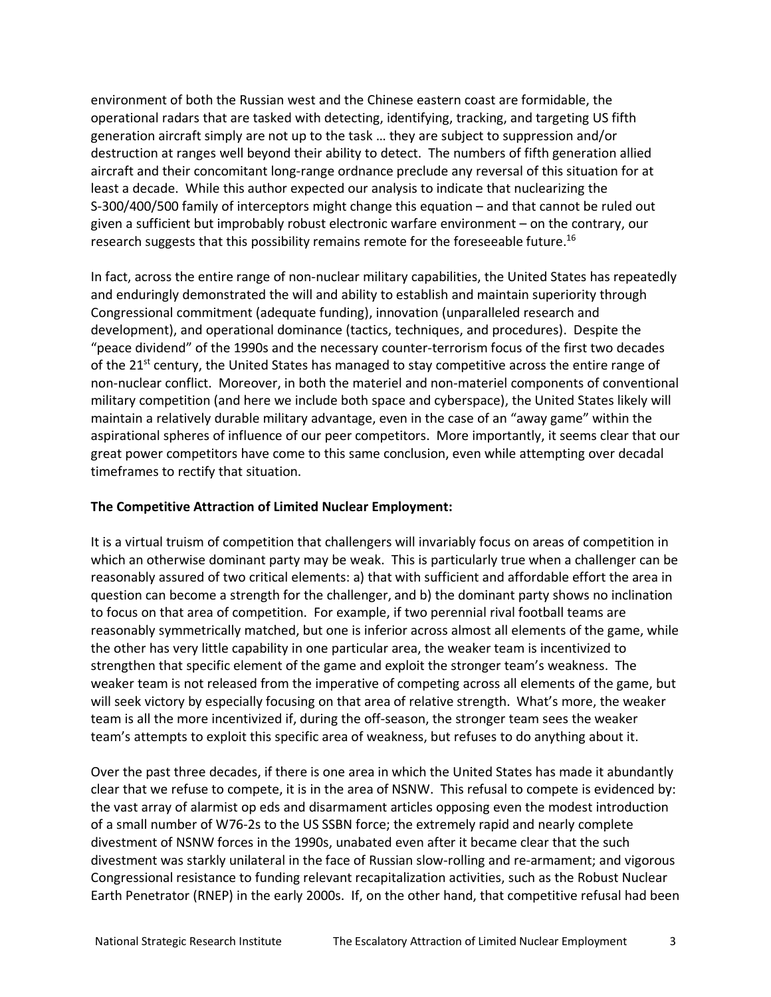environment of both the Russian west and the Chinese eastern coast are formidable, the operational radars that are tasked with detecting, identifying, tracking, and targeting US fifth generation aircraft simply are not up to the task … they are subject to suppression and/or destruction at ranges well beyond their ability to detect. The numbers of fifth generation allied aircraft and their concomitant long-range ordnance preclude any reversal of this situation for at least a decade. While this author expected our analysis to indicate that nuclearizing the S-300/400/500 family of interceptors might change this equation – and that cannot be ruled out given a sufficient but improbably robust electronic warfare environment – on the contrary, our research suggests that this possibility remains remote for the foreseeable future.<sup>16</sup>

In fact, across the entire range of non-nuclear military capabilities, the United States has repeatedly and enduringly demonstrated the will and ability to establish and maintain superiority through Congressional commitment (adequate funding), innovation (unparalleled research and development), and operational dominance (tactics, techniques, and procedures). Despite the "peace dividend" of the 1990s and the necessary counter-terrorism focus of the first two decades of the 21<sup>st</sup> century, the United States has managed to stay competitive across the entire range of non-nuclear conflict. Moreover, in both the materiel and non-materiel components of conventional military competition (and here we include both space and cyberspace), the United States likely will maintain a relatively durable military advantage, even in the case of an "away game" within the aspirational spheres of influence of our peer competitors. More importantly, it seems clear that our great power competitors have come to this same conclusion, even while attempting over decadal timeframes to rectify that situation.

#### **The Competitive Attraction of Limited Nuclear Employment:**

It is a virtual truism of competition that challengers will invariably focus on areas of competition in which an otherwise dominant party may be weak. This is particularly true when a challenger can be reasonably assured of two critical elements: a) that with sufficient and affordable effort the area in question can become a strength for the challenger, and b) the dominant party shows no inclination to focus on that area of competition. For example, if two perennial rival football teams are reasonably symmetrically matched, but one is inferior across almost all elements of the game, while the other has very little capability in one particular area, the weaker team is incentivized to strengthen that specific element of the game and exploit the stronger team's weakness. The weaker team is not released from the imperative of competing across all elements of the game, but will seek victory by especially focusing on that area of relative strength. What's more, the weaker team is all the more incentivized if, during the off-season, the stronger team sees the weaker team's attempts to exploit this specific area of weakness, but refuses to do anything about it.

Over the past three decades, if there is one area in which the United States has made it abundantly clear that we refuse to compete, it is in the area of NSNW. This refusal to compete is evidenced by: the vast array of alarmist op eds and disarmament articles opposing even the modest introduction of a small number of W76-2s to the US SSBN force; the extremely rapid and nearly complete divestment of NSNW forces in the 1990s, unabated even after it became clear that the such divestment was starkly unilateral in the face of Russian slow-rolling and re-armament; and vigorous Congressional resistance to funding relevant recapitalization activities, such as the Robust Nuclear Earth Penetrator (RNEP) in the early 2000s. If, on the other hand, that competitive refusal had been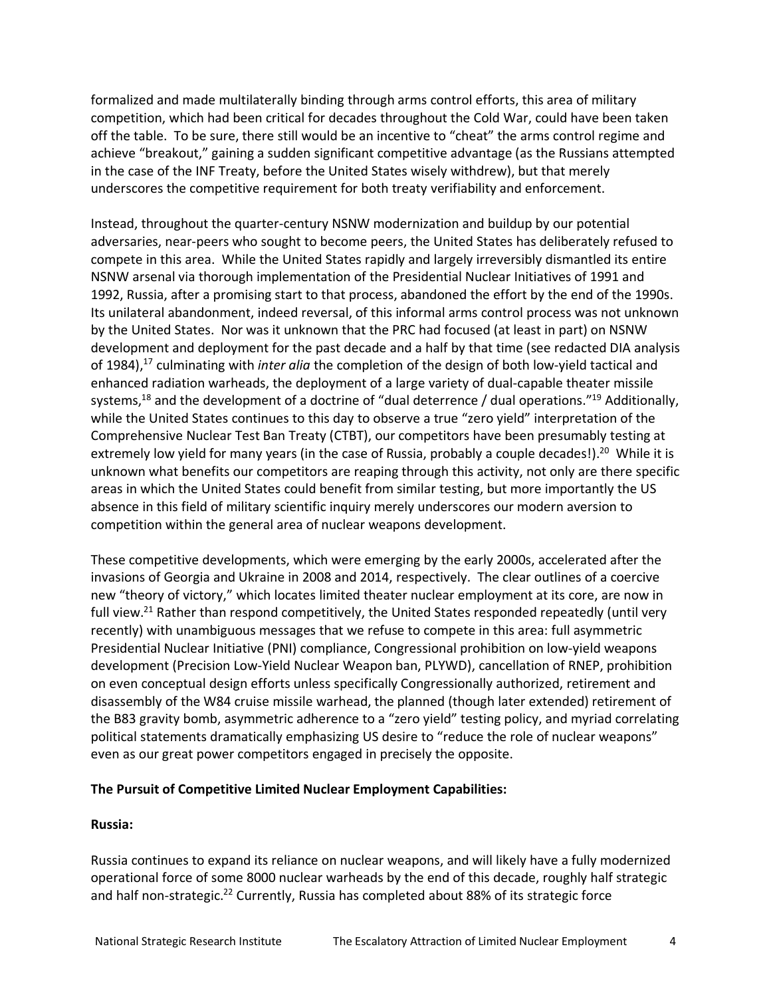formalized and made multilaterally binding through arms control efforts, this area of military competition, which had been critical for decades throughout the Cold War, could have been taken off the table. To be sure, there still would be an incentive to "cheat" the arms control regime and achieve "breakout," gaining a sudden significant competitive advantage (as the Russians attempted in the case of the INF Treaty, before the United States wisely withdrew), but that merely underscores the competitive requirement for both treaty verifiability and enforcement.

Instead, throughout the quarter-century NSNW modernization and buildup by our potential adversaries, near-peers who sought to become peers, the United States has deliberately refused to compete in this area. While the United States rapidly and largely irreversibly dismantled its entire NSNW arsenal via thorough implementation of the Presidential Nuclear Initiatives of 1991 and 1992, Russia, after a promising start to that process, abandoned the effort by the end of the 1990s. Its unilateral abandonment, indeed reversal, of this informal arms control process was not unknown by the United States. Nor was it unknown that the PRC had focused (at least in part) on NSNW development and deployment for the past decade and a half by that time (see redacted DIA analysis of 1984),17 culminating with *inter alia* the completion of the design of both low-yield tactical and enhanced radiation warheads, the deployment of a large variety of dual-capable theater missile systems,<sup>18</sup> and the development of a doctrine of "dual deterrence / dual operations."<sup>19</sup> Additionally, while the United States continues to this day to observe a true "zero yield" interpretation of the Comprehensive Nuclear Test Ban Treaty (CTBT), our competitors have been presumably testing at extremely low yield for many years (in the case of Russia, probably a couple decades!).<sup>20</sup> While it is unknown what benefits our competitors are reaping through this activity, not only are there specific areas in which the United States could benefit from similar testing, but more importantly the US absence in this field of military scientific inquiry merely underscores our modern aversion to competition within the general area of nuclear weapons development.

These competitive developments, which were emerging by the early 2000s, accelerated after the invasions of Georgia and Ukraine in 2008 and 2014, respectively. The clear outlines of a coercive new "theory of victory," which locates limited theater nuclear employment at its core, are now in full view.<sup>21</sup> Rather than respond competitively, the United States responded repeatedly (until very recently) with unambiguous messages that we refuse to compete in this area: full asymmetric Presidential Nuclear Initiative (PNI) compliance, Congressional prohibition on low-yield weapons development (Precision Low-Yield Nuclear Weapon ban, PLYWD), cancellation of RNEP, prohibition on even conceptual design efforts unless specifically Congressionally authorized, retirement and disassembly of the W84 cruise missile warhead, the planned (though later extended) retirement of the B83 gravity bomb, asymmetric adherence to a "zero yield" testing policy, and myriad correlating political statements dramatically emphasizing US desire to "reduce the role of nuclear weapons" even as our great power competitors engaged in precisely the opposite.

## **The Pursuit of Competitive Limited Nuclear Employment Capabilities:**

## **Russia:**

Russia continues to expand its reliance on nuclear weapons, and will likely have a fully modernized operational force of some 8000 nuclear warheads by the end of this decade, roughly half strategic and half non-strategic.<sup>22</sup> Currently, Russia has completed about 88% of its strategic force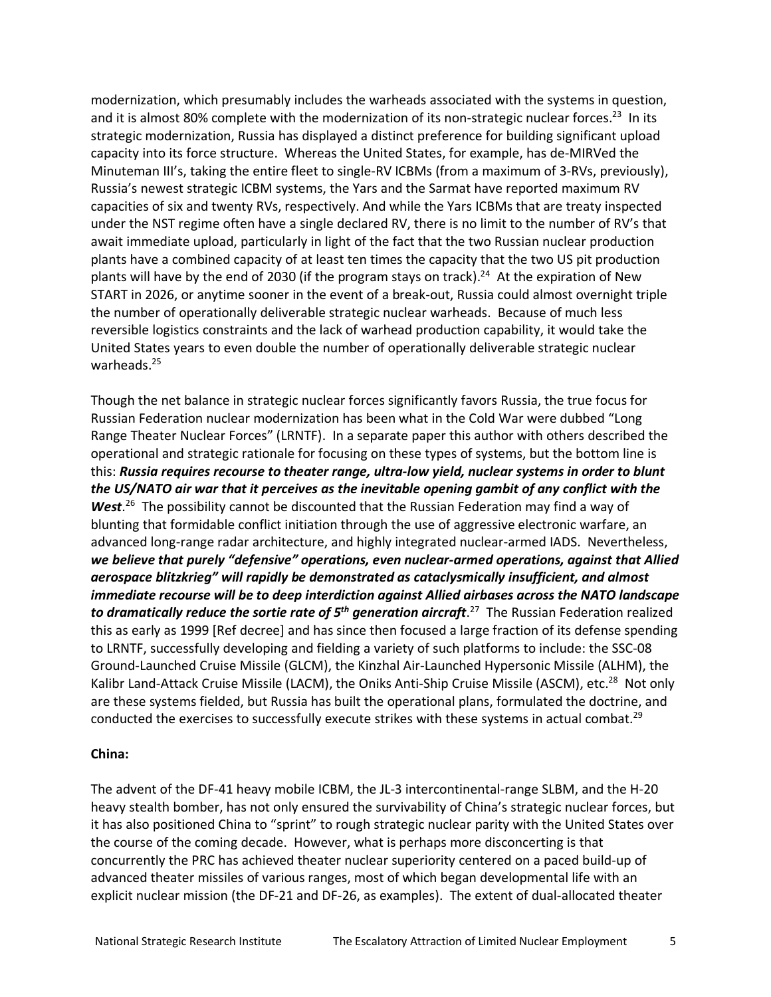modernization, which presumably includes the warheads associated with the systems in question, and it is almost 80% complete with the modernization of its non-strategic nuclear forces.<sup>23</sup> In its strategic modernization, Russia has displayed a distinct preference for building significant upload capacity into its force structure. Whereas the United States, for example, has de-MIRVed the Minuteman III's, taking the entire fleet to single-RV ICBMs (from a maximum of 3-RVs, previously), Russia's newest strategic ICBM systems, the Yars and the Sarmat have reported maximum RV capacities of six and twenty RVs, respectively. And while the Yars ICBMs that are treaty inspected under the NST regime often have a single declared RV, there is no limit to the number of RV's that await immediate upload, particularly in light of the fact that the two Russian nuclear production plants have a combined capacity of at least ten times the capacity that the two US pit production plants will have by the end of 2030 (if the program stays on track).<sup>24</sup> At the expiration of New START in 2026, or anytime sooner in the event of a break-out, Russia could almost overnight triple the number of operationally deliverable strategic nuclear warheads. Because of much less reversible logistics constraints and the lack of warhead production capability, it would take the United States years to even double the number of operationally deliverable strategic nuclear warheads.<sup>25</sup>

Though the net balance in strategic nuclear forces significantly favors Russia, the true focus for Russian Federation nuclear modernization has been what in the Cold War were dubbed "Long Range Theater Nuclear Forces" (LRNTF). In a separate paper this author with others described the operational and strategic rationale for focusing on these types of systems, but the bottom line is this: *Russia requires recourse to theater range, ultra-low yield, nuclear systems in order to blunt the US/NATO air war that it perceives as the inevitable opening gambit of any conflict with the*  West.<sup>26</sup> The possibility cannot be discounted that the Russian Federation may find a way of blunting that formidable conflict initiation through the use of aggressive electronic warfare, an advanced long-range radar architecture, and highly integrated nuclear-armed IADS. Nevertheless, *we believe that purely "defensive" operations, even nuclear-armed operations, against that Allied aerospace blitzkrieg" will rapidly be demonstrated as cataclysmically insufficient, and almost immediate recourse will be to deep interdiction against Allied airbases across the NATO landscape to dramatically reduce the sortie rate of 5th generation aircraft*. <sup>27</sup> The Russian Federation realized this as early as 1999 [Ref decree] and has since then focused a large fraction of its defense spending to LRNTF, successfully developing and fielding a variety of such platforms to include: the SSC-08 Ground-Launched Cruise Missile (GLCM), the Kinzhal Air-Launched Hypersonic Missile (ALHM), the Kalibr Land-Attack Cruise Missile (LACM), the Oniks Anti-Ship Cruise Missile (ASCM), etc.<sup>28</sup> Not only are these systems fielded, but Russia has built the operational plans, formulated the doctrine, and conducted the exercises to successfully execute strikes with these systems in actual combat.<sup>29</sup>

#### **China:**

The advent of the DF-41 heavy mobile ICBM, the JL-3 intercontinental-range SLBM, and the H-20 heavy stealth bomber, has not only ensured the survivability of China's strategic nuclear forces, but it has also positioned China to "sprint" to rough strategic nuclear parity with the United States over the course of the coming decade. However, what is perhaps more disconcerting is that concurrently the PRC has achieved theater nuclear superiority centered on a paced build-up of advanced theater missiles of various ranges, most of which began developmental life with an explicit nuclear mission (the DF-21 and DF-26, as examples). The extent of dual-allocated theater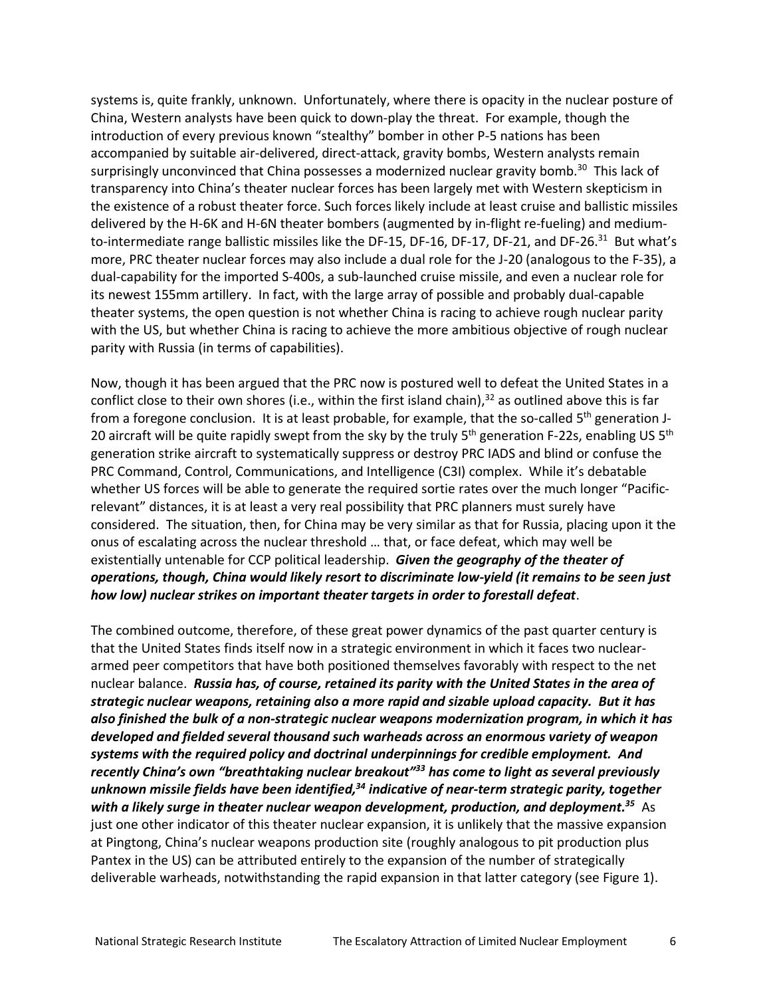systems is, quite frankly, unknown. Unfortunately, where there is opacity in the nuclear posture of China, Western analysts have been quick to down-play the threat. For example, though the introduction of every previous known "stealthy" bomber in other P-5 nations has been accompanied by suitable air-delivered, direct-attack, gravity bombs, Western analysts remain surprisingly unconvinced that China possesses a modernized nuclear gravity bomb.<sup>30</sup> This lack of transparency into China's theater nuclear forces has been largely met with Western skepticism in the existence of a robust theater force. Such forces likely include at least cruise and ballistic missiles delivered by the H-6K and H-6N theater bombers (augmented by in-flight re-fueling) and mediumto-intermediate range ballistic missiles like the DF-15, DF-16, DF-17, DF-21, and DF-26.<sup>31</sup> But what's more, PRC theater nuclear forces may also include a dual role for the J-20 (analogous to the F-35), a dual-capability for the imported S-400s, a sub-launched cruise missile, and even a nuclear role for its newest 155mm artillery. In fact, with the large array of possible and probably dual-capable theater systems, the open question is not whether China is racing to achieve rough nuclear parity with the US, but whether China is racing to achieve the more ambitious objective of rough nuclear parity with Russia (in terms of capabilities).

Now, though it has been argued that the PRC now is postured well to defeat the United States in a conflict close to their own shores (i.e., within the first island chain), $32$  as outlined above this is far from a foregone conclusion. It is at least probable, for example, that the so-called  $5<sup>th</sup>$  generation J-20 aircraft will be quite rapidly swept from the sky by the truly 5<sup>th</sup> generation F-22s, enabling US 5<sup>th</sup> generation strike aircraft to systematically suppress or destroy PRC IADS and blind or confuse the PRC Command, Control, Communications, and Intelligence (C3I) complex. While it's debatable whether US forces will be able to generate the required sortie rates over the much longer "Pacificrelevant" distances, it is at least a very real possibility that PRC planners must surely have considered. The situation, then, for China may be very similar as that for Russia, placing upon it the onus of escalating across the nuclear threshold … that, or face defeat, which may well be existentially untenable for CCP political leadership. *Given the geography of the theater of operations, though, China would likely resort to discriminate low-yield (it remains to be seen just how low) nuclear strikes on important theater targets in order to forestall defeat*.

The combined outcome, therefore, of these great power dynamics of the past quarter century is that the United States finds itself now in a strategic environment in which it faces two nucleararmed peer competitors that have both positioned themselves favorably with respect to the net nuclear balance. *Russia has, of course, retained its parity with the United States in the area of strategic nuclear weapons, retaining also a more rapid and sizable upload capacity. But it has also finished the bulk of a non-strategic nuclear weapons modernization program, in which it has developed and fielded several thousand such warheads across an enormous variety of weapon systems with the required policy and doctrinal underpinnings for credible employment. And recently China's own "breathtaking nuclear breakout"33 has come to light as several previously unknown missile fields have been identified,34 indicative of near-term strategic parity, together with a likely surge in theater nuclear weapon development, production, and deployment.35* As just one other indicator of this theater nuclear expansion, it is unlikely that the massive expansion at Pingtong, China's nuclear weapons production site (roughly analogous to pit production plus Pantex in the US) can be attributed entirely to the expansion of the number of strategically deliverable warheads, notwithstanding the rapid expansion in that latter category (see Figure 1).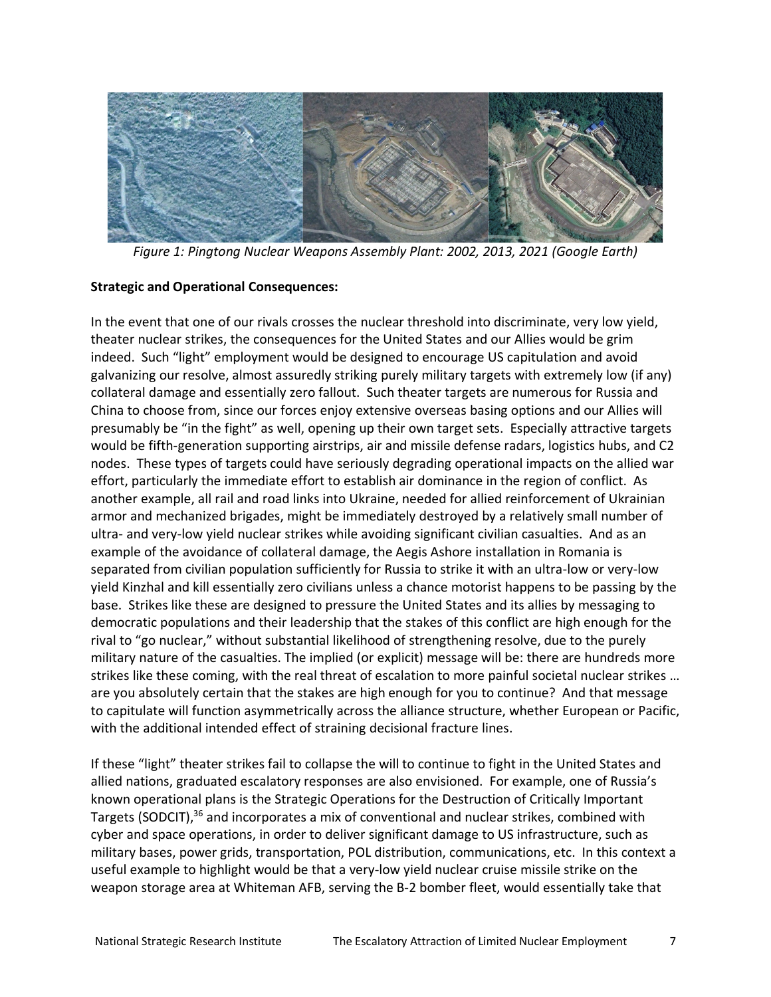

*Figure 1: Pingtong Nuclear Weapons Assembly Plant: 2002, 2013, 2021 (Google Earth)*

## **Strategic and Operational Consequences:**

In the event that one of our rivals crosses the nuclear threshold into discriminate, very low yield, theater nuclear strikes, the consequences for the United States and our Allies would be grim indeed. Such "light" employment would be designed to encourage US capitulation and avoid galvanizing our resolve, almost assuredly striking purely military targets with extremely low (if any) collateral damage and essentially zero fallout. Such theater targets are numerous for Russia and China to choose from, since our forces enjoy extensive overseas basing options and our Allies will presumably be "in the fight" as well, opening up their own target sets. Especially attractive targets would be fifth-generation supporting airstrips, air and missile defense radars, logistics hubs, and C2 nodes. These types of targets could have seriously degrading operational impacts on the allied war effort, particularly the immediate effort to establish air dominance in the region of conflict. As another example, all rail and road links into Ukraine, needed for allied reinforcement of Ukrainian armor and mechanized brigades, might be immediately destroyed by a relatively small number of ultra- and very-low yield nuclear strikes while avoiding significant civilian casualties. And as an example of the avoidance of collateral damage, the Aegis Ashore installation in Romania is separated from civilian population sufficiently for Russia to strike it with an ultra-low or very-low yield Kinzhal and kill essentially zero civilians unless a chance motorist happens to be passing by the base. Strikes like these are designed to pressure the United States and its allies by messaging to democratic populations and their leadership that the stakes of this conflict are high enough for the rival to "go nuclear," without substantial likelihood of strengthening resolve, due to the purely military nature of the casualties. The implied (or explicit) message will be: there are hundreds more strikes like these coming, with the real threat of escalation to more painful societal nuclear strikes … are you absolutely certain that the stakes are high enough for you to continue? And that message to capitulate will function asymmetrically across the alliance structure, whether European or Pacific, with the additional intended effect of straining decisional fracture lines.

If these "light" theater strikes fail to collapse the will to continue to fight in the United States and allied nations, graduated escalatory responses are also envisioned. For example, one of Russia's known operational plans is the Strategic Operations for the Destruction of Critically Important Targets (SODCIT),<sup>36</sup> and incorporates a mix of conventional and nuclear strikes, combined with cyber and space operations, in order to deliver significant damage to US infrastructure, such as military bases, power grids, transportation, POL distribution, communications, etc. In this context a useful example to highlight would be that a very-low yield nuclear cruise missile strike on the weapon storage area at Whiteman AFB, serving the B-2 bomber fleet, would essentially take that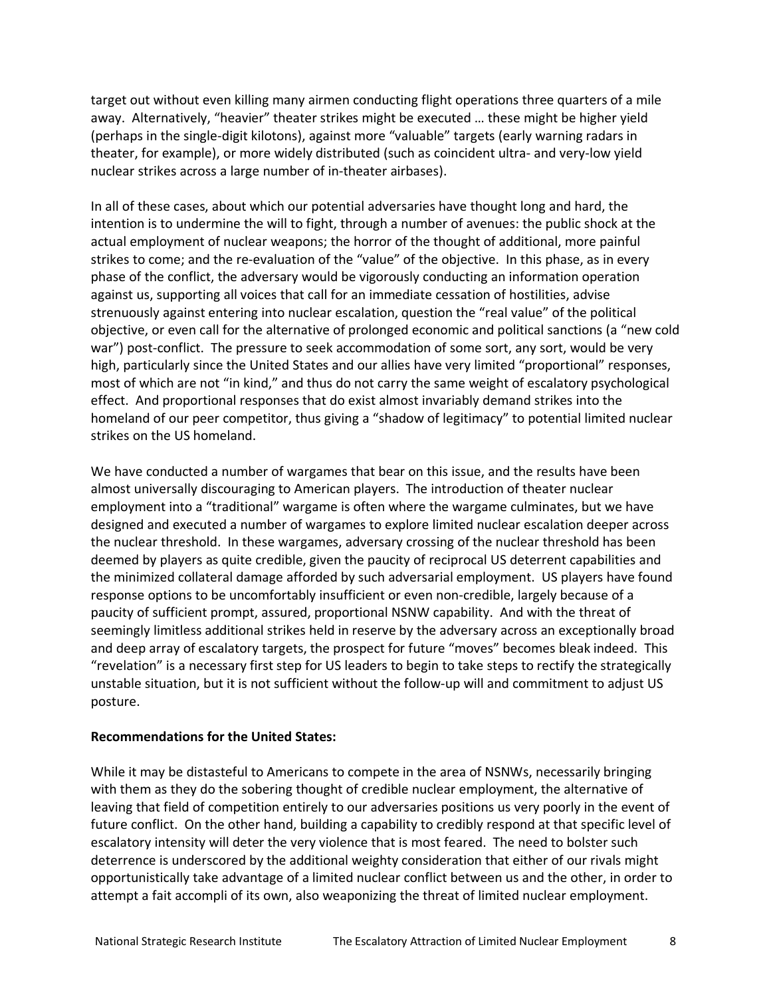target out without even killing many airmen conducting flight operations three quarters of a mile away. Alternatively, "heavier" theater strikes might be executed … these might be higher yield (perhaps in the single-digit kilotons), against more "valuable" targets (early warning radars in theater, for example), or more widely distributed (such as coincident ultra- and very-low yield nuclear strikes across a large number of in-theater airbases).

In all of these cases, about which our potential adversaries have thought long and hard, the intention is to undermine the will to fight, through a number of avenues: the public shock at the actual employment of nuclear weapons; the horror of the thought of additional, more painful strikes to come; and the re-evaluation of the "value" of the objective. In this phase, as in every phase of the conflict, the adversary would be vigorously conducting an information operation against us, supporting all voices that call for an immediate cessation of hostilities, advise strenuously against entering into nuclear escalation, question the "real value" of the political objective, or even call for the alternative of prolonged economic and political sanctions (a "new cold war") post-conflict. The pressure to seek accommodation of some sort, any sort, would be very high, particularly since the United States and our allies have very limited "proportional" responses, most of which are not "in kind," and thus do not carry the same weight of escalatory psychological effect. And proportional responses that do exist almost invariably demand strikes into the homeland of our peer competitor, thus giving a "shadow of legitimacy" to potential limited nuclear strikes on the US homeland.

We have conducted a number of wargames that bear on this issue, and the results have been almost universally discouraging to American players. The introduction of theater nuclear employment into a "traditional" wargame is often where the wargame culminates, but we have designed and executed a number of wargames to explore limited nuclear escalation deeper across the nuclear threshold. In these wargames, adversary crossing of the nuclear threshold has been deemed by players as quite credible, given the paucity of reciprocal US deterrent capabilities and the minimized collateral damage afforded by such adversarial employment. US players have found response options to be uncomfortably insufficient or even non-credible, largely because of a paucity of sufficient prompt, assured, proportional NSNW capability. And with the threat of seemingly limitless additional strikes held in reserve by the adversary across an exceptionally broad and deep array of escalatory targets, the prospect for future "moves" becomes bleak indeed. This "revelation" is a necessary first step for US leaders to begin to take steps to rectify the strategically unstable situation, but it is not sufficient without the follow-up will and commitment to adjust US posture.

#### **Recommendations for the United States:**

While it may be distasteful to Americans to compete in the area of NSNWs, necessarily bringing with them as they do the sobering thought of credible nuclear employment, the alternative of leaving that field of competition entirely to our adversaries positions us very poorly in the event of future conflict. On the other hand, building a capability to credibly respond at that specific level of escalatory intensity will deter the very violence that is most feared. The need to bolster such deterrence is underscored by the additional weighty consideration that either of our rivals might opportunistically take advantage of a limited nuclear conflict between us and the other, in order to attempt a fait accompli of its own, also weaponizing the threat of limited nuclear employment.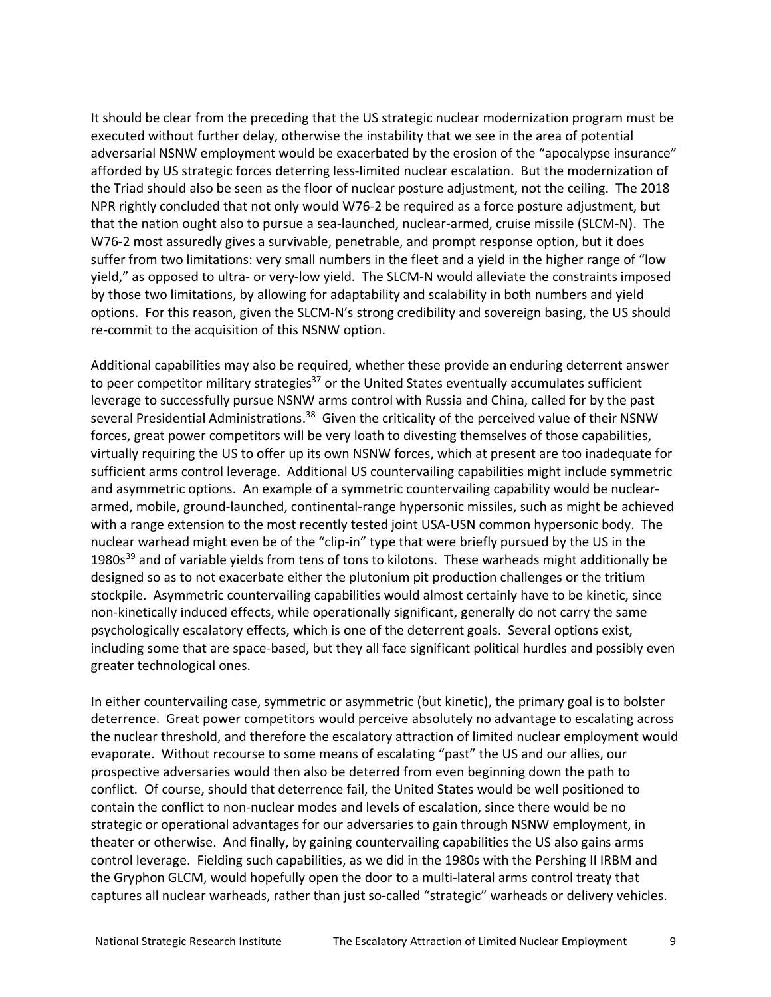It should be clear from the preceding that the US strategic nuclear modernization program must be executed without further delay, otherwise the instability that we see in the area of potential adversarial NSNW employment would be exacerbated by the erosion of the "apocalypse insurance" afforded by US strategic forces deterring less-limited nuclear escalation. But the modernization of the Triad should also be seen as the floor of nuclear posture adjustment, not the ceiling. The 2018 NPR rightly concluded that not only would W76-2 be required as a force posture adjustment, but that the nation ought also to pursue a sea-launched, nuclear-armed, cruise missile (SLCM-N). The W76-2 most assuredly gives a survivable, penetrable, and prompt response option, but it does suffer from two limitations: very small numbers in the fleet and a yield in the higher range of "low yield," as opposed to ultra- or very-low yield. The SLCM-N would alleviate the constraints imposed by those two limitations, by allowing for adaptability and scalability in both numbers and yield options. For this reason, given the SLCM-N's strong credibility and sovereign basing, the US should re-commit to the acquisition of this NSNW option.

Additional capabilities may also be required, whether these provide an enduring deterrent answer to peer competitor military strategies $37$  or the United States eventually accumulates sufficient leverage to successfully pursue NSNW arms control with Russia and China, called for by the past several Presidential Administrations.<sup>38</sup> Given the criticality of the perceived value of their NSNW forces, great power competitors will be very loath to divesting themselves of those capabilities, virtually requiring the US to offer up its own NSNW forces, which at present are too inadequate for sufficient arms control leverage. Additional US countervailing capabilities might include symmetric and asymmetric options. An example of a symmetric countervailing capability would be nucleararmed, mobile, ground-launched, continental-range hypersonic missiles, such as might be achieved with a range extension to the most recently tested joint USA-USN common hypersonic body. The nuclear warhead might even be of the "clip-in" type that were briefly pursued by the US in the 1980s<sup>39</sup> and of variable yields from tens of tons to kilotons. These warheads might additionally be designed so as to not exacerbate either the plutonium pit production challenges or the tritium stockpile. Asymmetric countervailing capabilities would almost certainly have to be kinetic, since non-kinetically induced effects, while operationally significant, generally do not carry the same psychologically escalatory effects, which is one of the deterrent goals. Several options exist, including some that are space-based, but they all face significant political hurdles and possibly even greater technological ones.

In either countervailing case, symmetric or asymmetric (but kinetic), the primary goal is to bolster deterrence. Great power competitors would perceive absolutely no advantage to escalating across the nuclear threshold, and therefore the escalatory attraction of limited nuclear employment would evaporate. Without recourse to some means of escalating "past" the US and our allies, our prospective adversaries would then also be deterred from even beginning down the path to conflict. Of course, should that deterrence fail, the United States would be well positioned to contain the conflict to non-nuclear modes and levels of escalation, since there would be no strategic or operational advantages for our adversaries to gain through NSNW employment, in theater or otherwise. And finally, by gaining countervailing capabilities the US also gains arms control leverage. Fielding such capabilities, as we did in the 1980s with the Pershing II IRBM and the Gryphon GLCM, would hopefully open the door to a multi-lateral arms control treaty that captures all nuclear warheads, rather than just so-called "strategic" warheads or delivery vehicles.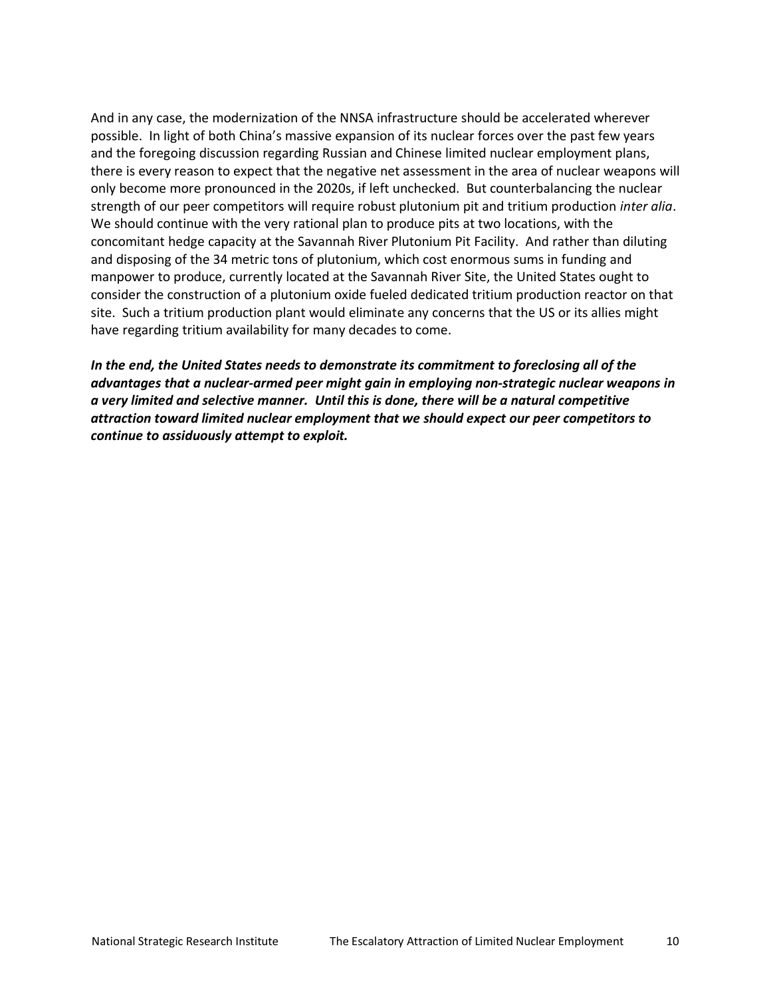And in any case, the modernization of the NNSA infrastructure should be accelerated wherever possible. In light of both China's massive expansion of its nuclear forces over the past few years and the foregoing discussion regarding Russian and Chinese limited nuclear employment plans, there is every reason to expect that the negative net assessment in the area of nuclear weapons will only become more pronounced in the 2020s, if left unchecked. But counterbalancing the nuclear strength of our peer competitors will require robust plutonium pit and tritium production *inter alia*. We should continue with the very rational plan to produce pits at two locations, with the concomitant hedge capacity at the Savannah River Plutonium Pit Facility. And rather than diluting and disposing of the 34 metric tons of plutonium, which cost enormous sums in funding and manpower to produce, currently located at the Savannah River Site, the United States ought to consider the construction of a plutonium oxide fueled dedicated tritium production reactor on that site. Such a tritium production plant would eliminate any concerns that the US or its allies might have regarding tritium availability for many decades to come.

*In the end, the United States needs to demonstrate its commitment to foreclosing all of the advantages that a nuclear-armed peer might gain in employing non-strategic nuclear weapons in a very limited and selective manner. Until this is done, there will be a natural competitive attraction toward limited nuclear employment that we should expect our peer competitors to continue to assiduously attempt to exploit.*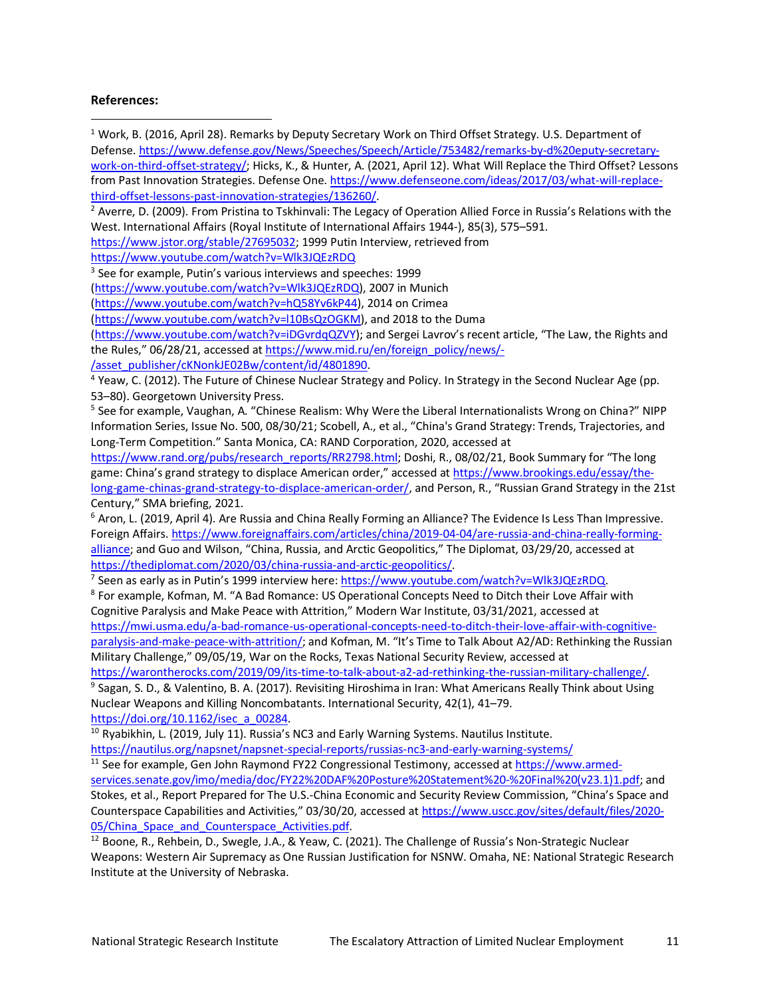#### **References:**

<sup>1</sup> Work, B. (2016, April 28). Remarks by Deputy Secretary Work on Third Offset Strategy. U.S. Department of Defense. https://www.defense.gov/News/Speeches/Speech/Article/753482/remarks-by-d%20eputy-secretarywork-on-third-offset-strategy/; Hicks, K., & Hunter, A. (2021, April 12). What Will Replace the Third Offset? Lessons from Past Innovation Strategies. Defense One. https://www.defenseone.com/ideas/2017/03/what-will-replacethird-offset-lessons-past-innovation-strategies/136260/.<br><sup>2</sup> Averre, D. (2009). From Pristina to Tskhinvali: The Legacy of Operation Allied Force in Russia's Relations with the West. International Affairs (Royal Institute of International Affairs 1944-), 85(3), 575–591. https://www.jstor.org/stable/27695032; 1999 Putin Interview, retrieved from https://www.youtube.com/watch?v=Wlk3JQEzRDQ <sup>3</sup> See for example, Putin's various interviews and speeches: 1999 (https://www.youtube.com/watch?v=Wlk3JQEzRDQ), 2007 in Munich (https://www.youtube.com/watch?v=hQ58Yv6kP44), 2014 on Crimea (https://www.youtube.com/watch?v=l10BsQzOGKM), and 2018 to the Duma (https://www.youtube.com/watch?v=iDGvrdqQZVY); and Sergei Lavrov's recent article, "The Law, the Rights and the Rules," 06/28/21, accessed at https://www.mid.ru/en/foreign\_policy/news/- /asset\_publisher/cKNonkJE02Bw/content/id/4801890. <sup>4</sup> Yeaw, C. (2012). The Future of Chinese Nuclear Strategy and Policy. In Strategy in the Second Nuclear Age (pp. 53–80). Georgetown University Press. <sup>5</sup> See for example, Vaughan, A. "Chinese Realism: Why Were the Liberal Internationalists Wrong on China?" NIPP Information Series, Issue No. 500, 08/30/21; Scobell, A., et al., "China's Grand Strategy: Trends, Trajectories, and Long-Term Competition." Santa Monica, CA: RAND Corporation, 2020, accessed at https://www.rand.org/pubs/research\_reports/RR2798.html; Doshi, R., 08/02/21, Book Summary for "The long game: China's grand strategy to displace American order," accessed at https://www.brookings.edu/essay/thelong-game-chinas-grand-strategy-to-displace-american-order/, and Person, R., "Russian Grand Strategy in the 21st Century," SMA briefing, 2021. <sup>6</sup> Aron, L. (2019, April 4). Are Russia and China Really Forming an Alliance? The Evidence Is Less Than Impressive. Foreign Affairs. https://www.foreignaffairs.com/articles/china/2019-04-04/are-russia-and-china-really-formingalliance; and Guo and Wilson, "China, Russia, and Arctic Geopolitics," The Diplomat, 03/29/20, accessed at https://thediplomat.com/2020/03/china-russia-and-arctic-geopolitics/.<br><sup>7</sup> Seen as early as in Putin's 1999 interview here: https://www.youtube.com/watch?v=Wlk3JQEzRDQ. <sup>8</sup> For example, Kofman, M. "A Bad Romance: US Operational Concepts Need to Ditch their Love Affair with Cognitive Paralysis and Make Peace with Attrition," Modern War Institute, 03/31/2021, accessed at https://mwi.usma.edu/a-bad-romance-us-operational-concepts-need-to-ditch-their-love-affair-with-cognitiveparalysis-and-make-peace-with-attrition/; and Kofman, M. "It's Time to Talk About A2/AD: Rethinking the Russian Military Challenge," 09/05/19, War on the Rocks, Texas National Security Review, accessed at https://warontherocks.com/2019/09/its-time-to-talk-about-a2-ad-rethinking-the-russian-military-challenge/. <sup>9</sup> Sagan, S. D., & Valentino, B. A. (2017). Revisiting Hiroshima in Iran: What Americans Really Think about Using Nuclear Weapons and Killing Noncombatants. International Security, 42(1), 41–79. https://doi.org/10.1162/isec\_a\_00284.<br><sup>10</sup> Ryabikhin, L. (2019, July 11). Russia's NC3 and Early Warning Systems. Nautilus Institute. https://nautilus.org/napsnet/napsnet-special-reports/russias-nc3-and-early-warning-systems/ <sup>11</sup> See for example, Gen John Raymond FY22 Congressional Testimony, accessed at https://www.armedservices.senate.gov/imo/media/doc/FY22%20DAF%20Posture%20Statement%20-%20Final%20(v23.1)1.pdf; and Stokes, et al., Report Prepared for The U.S.-China Economic and Security Review Commission, "China's Space and Counterspace Capabilities and Activities," 03/30/20, accessed at https://www.uscc.gov/sites/default/files/2020- 05/China Space and Counterspace Activities.pdf.  $\overline{a}$ 

<sup>12</sup> Boone, R., Rehbein, D., Swegle, J.A., & Yeaw, C. (2021). The Challenge of Russia's Non-Strategic Nuclear Weapons: Western Air Supremacy as One Russian Justification for NSNW. Omaha, NE: National Strategic Research Institute at the University of Nebraska.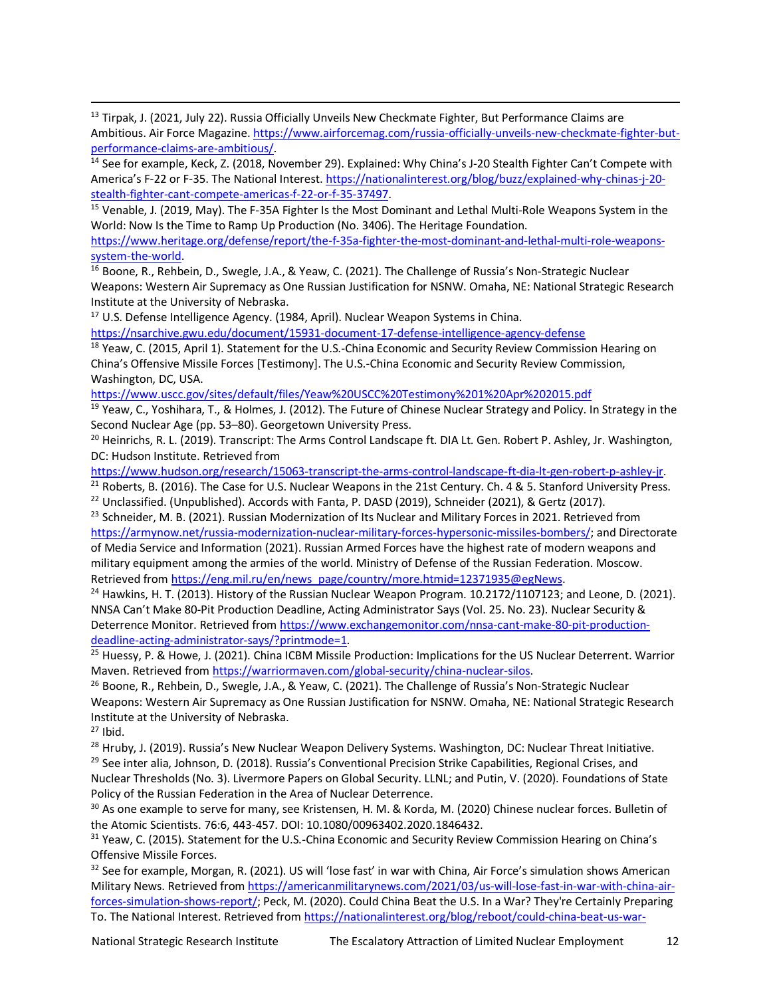<sup>13</sup> Tirpak, J. (2021, July 22). Russia Officially Unveils New Checkmate Fighter, But Performance Claims are Ambitious. Air Force Magazine. https://www.airforcemag.com/russia-officially-unveils-new-checkmate-fighter-butperformance-claims-are-ambitious/.

<sup>14</sup> See for example, Keck, Z. (2018, November 29). Explained: Why China's J-20 Stealth Fighter Can't Compete with America's F-22 or F-35. The National Interest. https://nationalinterest.org/blog/buzz/explained-why-chinas-j-20 stealth-fighter-cant-compete-americas-f-22-or-f-35-37497.

<sup>15</sup> Venable, J. (2019, May). The F-35A Fighter Is the Most Dominant and Lethal Multi-Role Weapons System in the World: Now Is the Time to Ramp Up Production (No. 3406). The Heritage Foundation.

https://www.heritage.org/defense/report/the-f-35a-fighter-the-most-dominant-and-lethal-multi-role-weaponssystem-the-world.

<sup>16</sup> Boone, R., Rehbein, D., Swegle, J.A., & Yeaw, C. (2021). The Challenge of Russia's Non-Strategic Nuclear Weapons: Western Air Supremacy as One Russian Justification for NSNW. Omaha, NE: National Strategic Research Institute at the University of Nebraska.

<sup>17</sup> U.S. Defense Intelligence Agency. (1984, April). Nuclear Weapon Systems in China.

https://nsarchive.gwu.edu/document/15931-document-17-defense-intelligence-agency-defense

<sup>18</sup> Yeaw, C. (2015, April 1). Statement for the U.S.-China Economic and Security Review Commission Hearing on China's Offensive Missile Forces [Testimony]. The U.S.-China Economic and Security Review Commission, Washington, DC, USA.

https://www.uscc.gov/sites/default/files/Yeaw%20USCC%20Testimony%201%20Apr%202015.pdf

<sup>19</sup> Yeaw, C., Yoshihara, T., & Holmes, J. (2012). The Future of Chinese Nuclear Strategy and Policy. In Strategy in the Second Nuclear Age (pp. 53–80). Georgetown University Press.

 $20$  Heinrichs, R. L. (2019). Transcript: The Arms Control Landscape ft. DIA Lt. Gen. Robert P. Ashley, Jr. Washington, DC: Hudson Institute. Retrieved from

https://www.hudson.org/research/15063-transcript-the-arms-control-landscape-ft-dia-lt-gen-robert-p-ashley-jr.

 $21$  Roberts, B. (2016). The Case for U.S. Nuclear Weapons in the 21st Century. Ch. 4 & 5. Stanford University Press.

<sup>22</sup> Unclassified. (Unpublished). Accords with Fanta, P. DASD (2019), Schneider (2021), & Gertz (2017).

<sup>23</sup> Schneider, M. B. (2021). Russian Modernization of Its Nuclear and Military Forces in 2021. Retrieved from https://armynow.net/russia-modernization-nuclear-military-forces-hypersonic-missiles-bombers/; and Directorate of Media Service and Information (2021). Russian Armed Forces have the highest rate of modern weapons and military equipment among the armies of the world. Ministry of Defense of the Russian Federation. Moscow. Retrieved from https://eng.mil.ru/en/news\_page/country/more.htmid=12371935@egNews.

 $24$  Hawkins, H. T. (2013). History of the Russian Nuclear Weapon Program. 10.2172/1107123; and Leone, D. (2021). NNSA Can't Make 80-Pit Production Deadline, Acting Administrator Says (Vol. 25. No. 23). Nuclear Security & Deterrence Monitor. Retrieved from https://www.exchangemonitor.com/nnsa-cant-make-80-pit-productiondeadline-acting-administrator-says/?printmode=1.

<sup>25</sup> Huessy, P. & Howe, J. (2021). China ICBM Missile Production: Implications for the US Nuclear Deterrent. Warrior Maven. Retrieved from https://warriormaven.com/global-security/china-nuclear-silos.

<sup>26</sup> Boone, R., Rehbein, D., Swegle, J.A., & Yeaw, C. (2021). The Challenge of Russia's Non-Strategic Nuclear Weapons: Western Air Supremacy as One Russian Justification for NSNW. Omaha, NE: National Strategic Research Institute at the University of Nebraska.

 $27$  Ibid.

<sup>28</sup> Hruby, J. (2019). Russia's New Nuclear Weapon Delivery Systems. Washington, DC: Nuclear Threat Initiative. <sup>29</sup> See inter alia, Johnson, D. (2018). Russia's Conventional Precision Strike Capabilities, Regional Crises, and Nuclear Thresholds (No. 3). Livermore Papers on Global Security. LLNL; and Putin, V. (2020). Foundations of State Policy of the Russian Federation in the Area of Nuclear Deterrence.

<sup>30</sup> As one example to serve for many, see Kristensen, H. M. & Korda, M. (2020) Chinese nuclear forces. Bulletin of the Atomic Scientists. 76:6, 443-457. DOI: 10.1080/00963402.2020.1846432.

<sup>31</sup> Yeaw, C. (2015). Statement for the U.S.-China Economic and Security Review Commission Hearing on China's Offensive Missile Forces.

 $32$  See for example, Morgan, R. (2021). US will 'lose fast' in war with China, Air Force's simulation shows American Military News. Retrieved from https://americanmilitarynews.com/2021/03/us-will-lose-fast-in-war-with-china-airforces-simulation-shows-report/; Peck, M. (2020). Could China Beat the U.S. In a War? They're Certainly Preparing To. The National Interest. Retrieved from https://nationalinterest.org/blog/reboot/could-china-beat-us-war